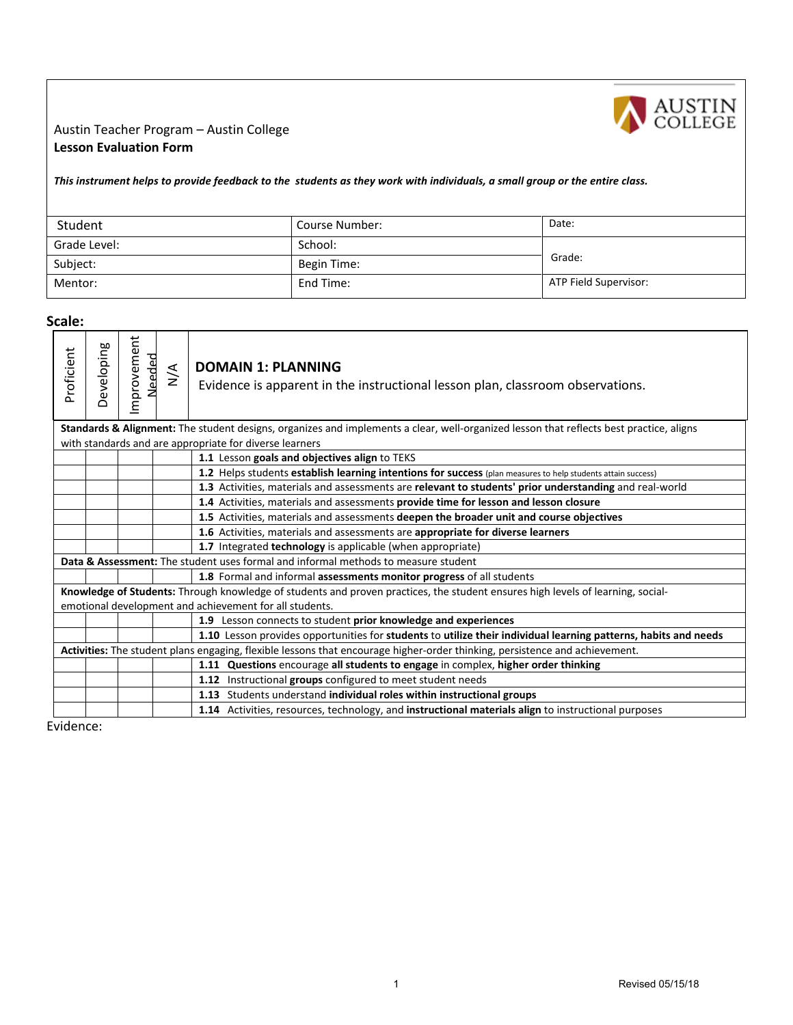

## Austin Teacher Program – Austin College **Lesson Evaluation Form**

*This instrument helps to provide feedback to the students as they work with individuals, a small group or the entire class.*

| Student      | Course Number: | Date:                 |
|--------------|----------------|-----------------------|
| Grade Level: | School:        |                       |
| Subject:     | Begin Time:    | Grade:                |
| Mentor:      | End Time:      | ATP Field Supervisor: |

**Scale:** 

| Developing<br>Proficient | ovement<br>פ<br>E | $\sum_{i=1}^{n}$ | <b>DOMAIN 1: PLANNI</b><br>Evidence is apparent                  |
|--------------------------|-------------------|------------------|------------------------------------------------------------------|
|                          |                   |                  | <b>Standards &amp; Alignment:</b> The student designs, organizes |
|                          |                   |                  | with standards and are appropriate for diverse learners          |
|                          |                   |                  | 1.1 Lesson goals and obje                                        |
|                          |                   |                  | الماجهين جهد والمربهم وجراحا الشائط                              |

## **DOMAIN 1: PLANNING**

ent in the instructional lesson plan, classroom observations.

hizes and implements a clear, well-organized lesson that reflects best practice, aligns

|                                                                                                                             |                                                                                                                                 |  |  | 1.1 Lesson goals and objectives align to TEKS                                                                   |
|-----------------------------------------------------------------------------------------------------------------------------|---------------------------------------------------------------------------------------------------------------------------------|--|--|-----------------------------------------------------------------------------------------------------------------|
|                                                                                                                             |                                                                                                                                 |  |  | 1.2 Helps students establish learning intentions for success (plan measures to help students attain success)    |
|                                                                                                                             |                                                                                                                                 |  |  | 1.3 Activities, materials and assessments are relevant to students' prior understanding and real-world          |
|                                                                                                                             |                                                                                                                                 |  |  | 1.4 Activities, materials and assessments provide time for lesson and lesson closure                            |
|                                                                                                                             |                                                                                                                                 |  |  | 1.5 Activities, materials and assessments deepen the broader unit and course objectives                         |
|                                                                                                                             |                                                                                                                                 |  |  | 1.6 Activities, materials and assessments are appropriate for diverse learners                                  |
|                                                                                                                             |                                                                                                                                 |  |  | 1.7 Integrated technology is applicable (when appropriate)                                                      |
|                                                                                                                             |                                                                                                                                 |  |  | Data & Assessment: The student uses formal and informal methods to measure student                              |
|                                                                                                                             |                                                                                                                                 |  |  | 1.8 Formal and informal assessments monitor progress of all students                                            |
|                                                                                                                             | Knowledge of Students: Through knowledge of students and proven practices, the student ensures high levels of learning, social- |  |  |                                                                                                                 |
| emotional development and achievement for all students.                                                                     |                                                                                                                                 |  |  |                                                                                                                 |
|                                                                                                                             |                                                                                                                                 |  |  | 1.9 Lesson connects to student prior knowledge and experiences                                                  |
|                                                                                                                             |                                                                                                                                 |  |  | 1.10 Lesson provides opportunities for students to utilize their individual learning patterns, habits and needs |
| Activities: The student plans engaging, flexible lessons that encourage higher-order thinking, persistence and achievement. |                                                                                                                                 |  |  |                                                                                                                 |
|                                                                                                                             |                                                                                                                                 |  |  | 1.11 Questions encourage all students to engage in complex, higher order thinking                               |
|                                                                                                                             |                                                                                                                                 |  |  | 1.12 Instructional groups configured to meet student needs                                                      |
|                                                                                                                             |                                                                                                                                 |  |  | 1.13 Students understand individual roles within instructional groups                                           |
|                                                                                                                             |                                                                                                                                 |  |  | 1.14 Activities, resources, technology, and instructional materials align to instructional purposes             |

Evidence: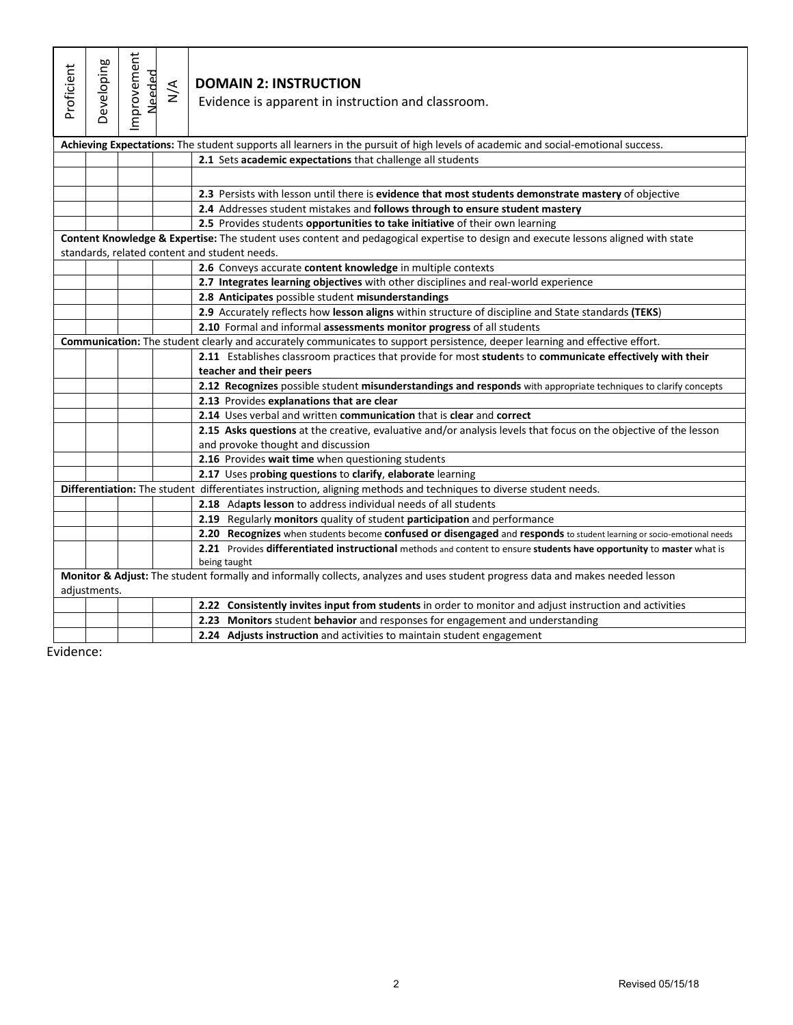| Proficient | Developing                                                                                                         | mprovement<br>Needed | $\stackrel{\triangleleft}{\geq}$ | <b>DOMAIN 2: INSTRUCTION</b><br>Evidence is apparent in instruction and classroom.                                                                     |
|------------|--------------------------------------------------------------------------------------------------------------------|----------------------|----------------------------------|--------------------------------------------------------------------------------------------------------------------------------------------------------|
|            |                                                                                                                    |                      |                                  | Achieving Expectations: The student supports all learners in the pursuit of high levels of academic and social-emotional success.                      |
|            |                                                                                                                    |                      |                                  | 2.1 Sets academic expectations that challenge all students                                                                                             |
|            |                                                                                                                    |                      |                                  |                                                                                                                                                        |
|            |                                                                                                                    |                      |                                  | 2.3 Persists with lesson until there is evidence that most students demonstrate mastery of objective                                                   |
|            |                                                                                                                    |                      |                                  | 2.4 Addresses student mistakes and follows through to ensure student mastery                                                                           |
|            |                                                                                                                    |                      |                                  | 2.5 Provides students opportunities to take initiative of their own learning                                                                           |
|            |                                                                                                                    |                      |                                  | Content Knowledge & Expertise: The student uses content and pedagogical expertise to design and execute lessons aligned with state                     |
|            |                                                                                                                    |                      |                                  | standards, related content and student needs.                                                                                                          |
|            |                                                                                                                    |                      |                                  | 2.6 Conveys accurate content knowledge in multiple contexts                                                                                            |
|            |                                                                                                                    |                      |                                  | 2.7 Integrates learning objectives with other disciplines and real-world experience                                                                    |
|            |                                                                                                                    |                      |                                  | 2.8 Anticipates possible student misunderstandings                                                                                                     |
|            |                                                                                                                    |                      |                                  | 2.9 Accurately reflects how lesson aligns within structure of discipline and State standards (TEKS)                                                    |
|            |                                                                                                                    |                      |                                  | 2.10 Formal and informal assessments monitor progress of all students                                                                                  |
|            |                                                                                                                    |                      |                                  | Communication: The student clearly and accurately communicates to support persistence, deeper learning and effective effort.                           |
|            |                                                                                                                    |                      |                                  | 2.11 Establishes classroom practices that provide for most students to communicate effectively with their<br>teacher and their peers                   |
|            |                                                                                                                    |                      |                                  | 2.12 Recognizes possible student misunderstandings and responds with appropriate techniques to clarify concepts                                        |
|            |                                                                                                                    |                      |                                  | 2.13 Provides explanations that are clear                                                                                                              |
|            |                                                                                                                    |                      |                                  | 2.14 Uses verbal and written communication that is clear and correct                                                                                   |
|            |                                                                                                                    |                      |                                  | 2.15 Asks questions at the creative, evaluative and/or analysis levels that focus on the objective of the lesson<br>and provoke thought and discussion |
|            |                                                                                                                    |                      |                                  | 2.16 Provides wait time when questioning students                                                                                                      |
|            |                                                                                                                    |                      |                                  | 2.17 Uses probing questions to clarify, elaborate learning                                                                                             |
|            | Differentiation: The student differentiates instruction, aligning methods and techniques to diverse student needs. |                      |                                  |                                                                                                                                                        |
|            |                                                                                                                    |                      |                                  | 2.18 Adapts lesson to address individual needs of all students                                                                                         |
|            |                                                                                                                    |                      |                                  | 2.19 Regularly monitors quality of student participation and performance                                                                               |
|            |                                                                                                                    |                      |                                  | 2.20 Recognizes when students become confused or disengaged and responds to student learning or socio-emotional needs                                  |
|            |                                                                                                                    |                      |                                  | 2.21 Provides differentiated instructional methods and content to ensure students have opportunity to master what is<br>being taught                   |
|            | adjustments.                                                                                                       |                      |                                  | Monitor & Adjust: The student formally and informally collects, analyzes and uses student progress data and makes needed lesson                        |
|            |                                                                                                                    |                      |                                  | 2.22 Consistently invites input from students in order to monitor and adjust instruction and activities                                                |
|            |                                                                                                                    |                      |                                  | 2.23 Monitors student behavior and responses for engagement and understanding                                                                          |
|            |                                                                                                                    |                      |                                  | 2.24 Adjusts instruction and activities to maintain student engagement                                                                                 |

Evidence: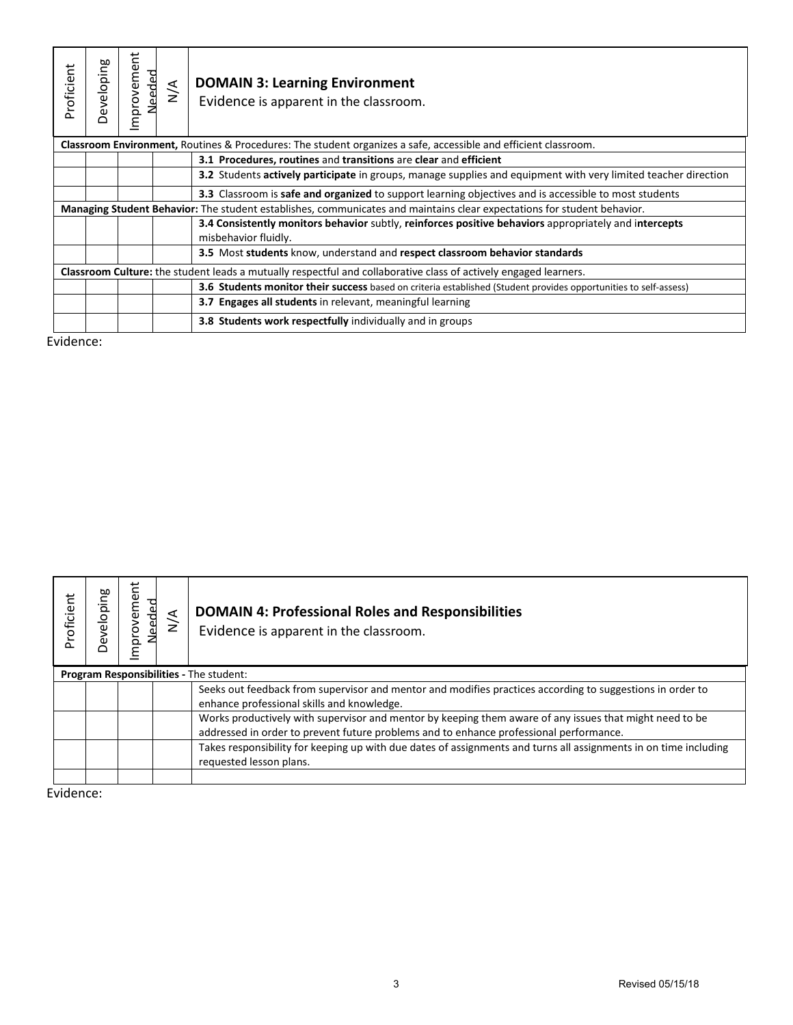| Proficient | Developing                                                                                                              | ť<br>Improveme<br>Needed | $\frac{4}{2}$ | <b>DOMAIN 3: Learning Environment</b><br>Evidence is apparent in the classroom.                                               |  |
|------------|-------------------------------------------------------------------------------------------------------------------------|--------------------------|---------------|-------------------------------------------------------------------------------------------------------------------------------|--|
|            |                                                                                                                         |                          |               | Classroom Environment, Routines & Procedures: The student organizes a safe, accessible and efficient classroom.               |  |
|            |                                                                                                                         |                          |               | 3.1 Procedures, routines and transitions are clear and efficient                                                              |  |
|            |                                                                                                                         |                          |               | <b>3.2</b> Students actively participate in groups, manage supplies and equipment with very limited teacher direction         |  |
|            |                                                                                                                         |                          |               | <b>3.3</b> Classroom is <b>safe and organized</b> to support learning objectives and is accessible to most students           |  |
|            | Managing Student Behavior: The student establishes, communicates and maintains clear expectations for student behavior. |                          |               |                                                                                                                               |  |
|            |                                                                                                                         |                          |               | 3.4 Consistently monitors behavior subtly, reinforces positive behaviors appropriately and intercepts<br>misbehavior fluidly. |  |
|            |                                                                                                                         |                          |               | 3.5 Most students know, understand and respect classroom behavior standards                                                   |  |
|            | Classroom Culture: the student leads a mutually respectful and collaborative class of actively engaged learners.        |                          |               |                                                                                                                               |  |
|            |                                                                                                                         |                          |               | <b>3.6 Students monitor their success</b> based on criteria established (Student provides opportunities to self-assess)       |  |
|            |                                                                                                                         |                          |               | <b>3.7 Engages all students</b> in relevant, meaningful learning                                                              |  |
|            |                                                                                                                         |                          |               | <b>3.8 Students work respectfully individually and in groups</b>                                                              |  |

Evidence:

| Proficient | Jeveloping                                     | Φ<br>ਰੂ<br>έ<br>š<br>idu. | $\frac{4}{2}$ | <b>DOMAIN 4: Professional Roles and Responsibilities</b><br>Evidence is apparent in the classroom.                                                                                                |  |
|------------|------------------------------------------------|---------------------------|---------------|---------------------------------------------------------------------------------------------------------------------------------------------------------------------------------------------------|--|
|            | <b>Program Responsibilities - The student:</b> |                           |               |                                                                                                                                                                                                   |  |
|            |                                                |                           |               | Seeks out feedback from supervisor and mentor and modifies practices according to suggestions in order to<br>enhance professional skills and knowledge.                                           |  |
|            |                                                |                           |               | Works productively with supervisor and mentor by keeping them aware of any issues that might need to be<br>addressed in order to prevent future problems and to enhance professional performance. |  |
|            |                                                |                           |               | Takes responsibility for keeping up with due dates of assignments and turns all assignments in on time including<br>requested lesson plans.                                                       |  |
|            |                                                |                           |               |                                                                                                                                                                                                   |  |

Evidence: